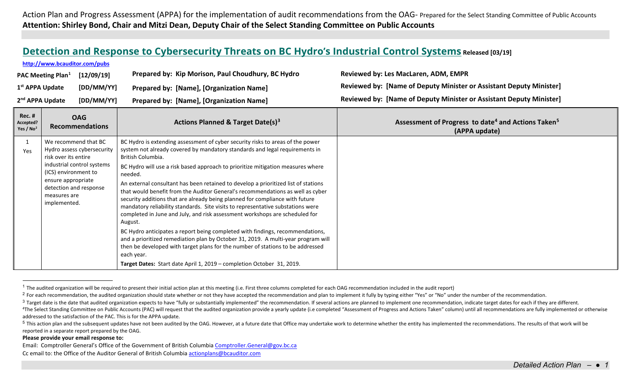<span id="page-0-4"></span><span id="page-0-3"></span><span id="page-0-2"></span><span id="page-0-1"></span><span id="page-0-0"></span>Action Plan and Progress Assessment (APPA) for the implementation of audit recommendations from the OAG- Prepared for the Select Standing Committee of Public Accounts **Attention: Shirley Bond, Chair and Mitzi Dean, Deputy Chair of the Select Standing Committee on Public Accounts**

## **[Detection and Response to Cybersecurity Threats on BC Hydro's Industrial Control Systems](http://www.bcauditor.com/pubs/2019/detection-and-response-cybersecurity-threats-bc-hydro%E2%80%99s-industrial-control-systems) Released [03/19]**

|                                           | [12/09/19]<br><b>PAC Meeting Plan</b> <sup>1</sup>                                                                                                                                                               | Prepared by: Kip Morison, Paul Choudhury, BC Hydro                                                                                                                                                                                                                                                                                                                                                                                                                                                                                                                                                                                                                                                                                                                                                                                                                                                                                                                                                                                                                   | Reviewed by: Les MacLaren, ADM, EMPR                                                        |
|-------------------------------------------|------------------------------------------------------------------------------------------------------------------------------------------------------------------------------------------------------------------|----------------------------------------------------------------------------------------------------------------------------------------------------------------------------------------------------------------------------------------------------------------------------------------------------------------------------------------------------------------------------------------------------------------------------------------------------------------------------------------------------------------------------------------------------------------------------------------------------------------------------------------------------------------------------------------------------------------------------------------------------------------------------------------------------------------------------------------------------------------------------------------------------------------------------------------------------------------------------------------------------------------------------------------------------------------------|---------------------------------------------------------------------------------------------|
| 1 <sup>st</sup> APPA Update               | [DD/MM/YY]                                                                                                                                                                                                       | Prepared by: [Name], [Organization Name]                                                                                                                                                                                                                                                                                                                                                                                                                                                                                                                                                                                                                                                                                                                                                                                                                                                                                                                                                                                                                             | Reviewed by: [Name of Deputy Minister or Assistant Deputy Minister]                         |
| 2 <sup>nd</sup> APPA Update<br>[DD/MM/YY] |                                                                                                                                                                                                                  | Prepared by: [Name], [Organization Name]                                                                                                                                                                                                                                                                                                                                                                                                                                                                                                                                                                                                                                                                                                                                                                                                                                                                                                                                                                                                                             | Reviewed by: [Name of Deputy Minister or Assistant Deputy Minister]                         |
| Rec. #<br>Accepted?<br>Yes / $No2$        | <b>OAG</b><br><b>Recommendations</b>                                                                                                                                                                             | Actions Planned & Target Date(s) <sup>3</sup>                                                                                                                                                                                                                                                                                                                                                                                                                                                                                                                                                                                                                                                                                                                                                                                                                                                                                                                                                                                                                        | Assessment of Progress to date <sup>4</sup> and Actions Taken <sup>5</sup><br>(APPA update) |
| 1<br>Yes                                  | We recommend that BC<br>Hydro assess cybersecurity<br>risk over its entire<br>industrial control systems<br>(ICS) environment to<br>ensure appropriate<br>detection and response<br>measures are<br>implemented. | BC Hydro is extending assessment of cyber security risks to areas of the power<br>system not already covered by mandatory standards and legal requirements in<br>British Columbia.<br>BC Hydro will use a risk based approach to prioritize mitigation measures where<br>needed.<br>An external consultant has been retained to develop a prioritized list of stations<br>that would benefit from the Auditor General's recommendations as well as cyber<br>security additions that are already being planned for compliance with future<br>mandatory reliability standards. Site visits to representative substations were<br>completed in June and July, and risk assessment workshops are scheduled for<br>August.<br>BC Hydro anticipates a report being completed with findings, recommendations,<br>and a prioritized remediation plan by October 31, 2019. A multi-year program will<br>then be developed with target plans for the number of stations to be addressed<br>each year.<br>Target Dates: Start date April 1, 2019 - completion October 31, 2019. |                                                                                             |

<sup>&</sup>lt;sup>1</sup> The audited organization will be required to present their initial action plan at this meeting (i.e. First three columns completed for each OAG recommendation included in the audit report)

## **Please provide your email response to:**

**<http://www.bcauditor.com/pubs>**

Email: Comptroller General's Office of the Government of British Columbi[a Comptroller.General@gov.bc.ca](mailto:Comptroller.General@gov.bc.ca) Cc email to: the Office of the Auditor General of British Columbi[a actionplans@bcauditor.com](mailto:actionplans@bcauditor.com)

<sup>&</sup>lt;sup>2</sup> For each recommendation, the audited organization should state whether or not they have accepted the recommendation and plan to implement it fully by typing either "Yes" or "No" under the number of the recommendation.

<sup>&</sup>lt;sup>3</sup> Target date is the date that audited organization expects to have "fully or substantially implemented" the recommendation. If several actions are planned to implement one recommendation, indicate target dates for each

<sup>&</sup>lt;sup>4</sup>The Select Standing Committee on Public Accounts (PAC) will request that the audited organization provide a yearly update (i.e completed "Assessment of Progress and Actions Taken" column) until all recommendations are f addressed to the satisfaction of the PAC. This is for the APPA update.

<sup>&</sup>lt;sup>5</sup> This action plan and the subsequent updates have not been audited by the OAG. However, at a future date that Office may undertake work to determine whether the entity has implemented the recommendations. The results of reported in a separate report prepared by the OAG.